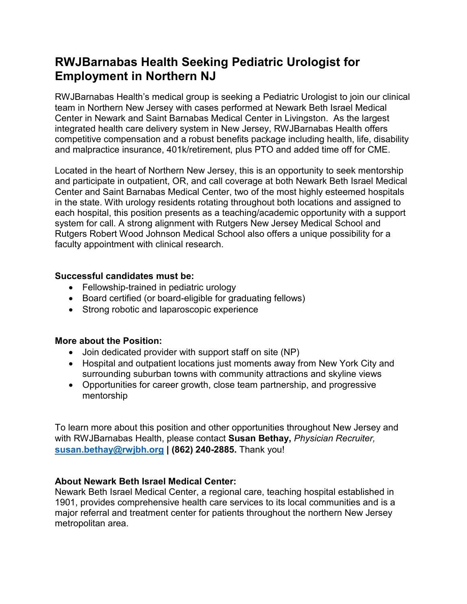# **RWJBarnabas Health Seeking Pediatric Urologist for Employment in Northern NJ**

RWJBarnabas Health's medical group is seeking a Pediatric Urologist to join our clinical team in Northern New Jersey with cases performed at Newark Beth Israel Medical Center in Newark and Saint Barnabas Medical Center in Livingston. As the largest integrated health care delivery system in New Jersey, RWJBarnabas Health offers competitive compensation and a robust benefits package including health, life, disability and malpractice insurance, 401k/retirement, plus PTO and added time off for CME.

Located in the heart of Northern New Jersey, this is an opportunity to seek mentorship and participate in outpatient, OR, and call coverage at both Newark Beth Israel Medical Center and Saint Barnabas Medical Center, two of the most highly esteemed hospitals in the state. With urology residents rotating throughout both locations and assigned to each hospital, this position presents as a teaching/academic opportunity with a support system for call. A strong alignment with Rutgers New Jersey Medical School and Rutgers Robert Wood Johnson Medical School also offers a unique possibility for a faculty appointment with clinical research.

#### **Successful candidates must be:**

- Fellowship-trained in pediatric urology
- Board certified (or board-eligible for graduating fellows)
- Strong robotic and laparoscopic experience

## **More about the Position:**

- Join dedicated provider with support staff on site (NP)
- Hospital and outpatient locations just moments away from New York City and surrounding suburban towns with community attractions and skyline views
- Opportunities for career growth, close team partnership, and progressive mentorship

To learn more about this position and other opportunities throughout New Jersey and with RWJBarnabas Health, please contact **Susan Bethay,** *Physician Recruiter,*  **[susan.bethay@rwjbh.org](mailto:susan.bethay@rwjbh.org) | (862) 240-2885.** Thank you!

## **About Newark Beth Israel Medical Center:**

Newark Beth Israel Medical Center, a regional care, teaching hospital established in 1901, provides comprehensive health care services to its local communities and is a major referral and treatment center for patients throughout the northern New Jersey metropolitan area.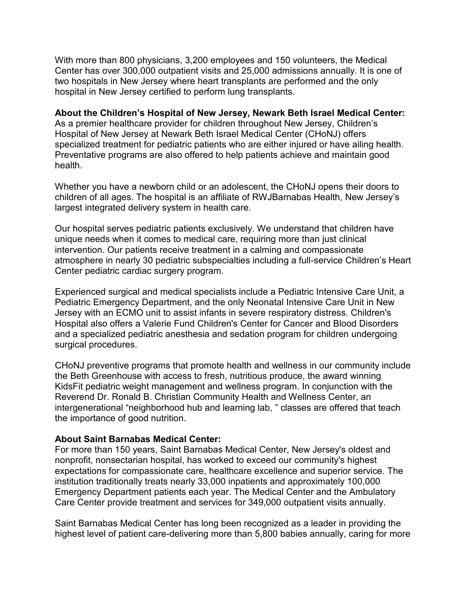With more than 800 physicians, 3,200 employees and 150 volunteers, the Medical Center has over 300,000 outpatient visits and 25,000 admissions annually. It is one of two hospitals in New Jersey where heart transplants are performed and the only hospital in New Jersey certified to perform lung transplants.

#### **About the Children's Hospital of New Jersey, Newark Beth Israel Medical Center:**

As a premier healthcare provider for children throughout New Jersey, Children's Hospital of New Jersey at Newark Beth Israel Medical Center (CHoNJ) offers specialized treatment for pediatric patients who are either injured or have ailing health. Preventative programs are also offered to help patients achieve and maintain good health.

Whether you have a newborn child or an adolescent, the CHoNJ opens their doors to children of all ages. The hospital is an affiliate of RWJBarnabas Health, New Jersey's largest integrated delivery system in health care.

Our hospital serves pediatric patients exclusively. We understand that children have unique needs when it comes to medical care, requiring more than just clinical intervention. Our patients receive treatment in a calming and compassionate atmosphere in nearly 30 pediatric subspecialties including a full-service Children's Heart Center pediatric cardiac surgery program.

Experienced surgical and medical specialists include a Pediatric Intensive Care Unit, a Pediatric Emergency Department, and the only Neonatal Intensive Care Unit in New Jersey with an ECMO unit to assist infants in severe respiratory distress. Children's Hospital also offers a Valerie Fund Children's Center for Cancer and Blood Disorders and a specialized pediatric anesthesia and sedation program for children undergoing surgical procedures.

CHoNJ preventive programs that promote health and wellness in our community include the Beth Greenhouse with access to fresh, nutritious produce, the award winning KidsFit pediatric weight management and wellness program. In conjunction with the Reverend Dr. Ronald B. Christian Community Health and Wellness Center, an intergenerational "neighborhood hub and learning lab, " classes are offered that teach the importance of good nutrition.

#### **About Saint Barnabas Medical Center:**

For more than 150 years, Saint Barnabas Medical Center, New Jersey's oldest and nonprofit, nonsectarian hospital, has worked to exceed our community's highest expectations for compassionate care, healthcare excellence and superior service. The institution traditionally treats nearly 33,000 inpatients and approximately 100,000 Emergency Department patients each year. The Medical Center and the Ambulatory Care Center provide treatment and services for 349,000 outpatient visits annually.

Saint Barnabas Medical Center has long been recognized as a leader in providing the highest level of patient care-delivering more than 5,800 babies annually, caring for more